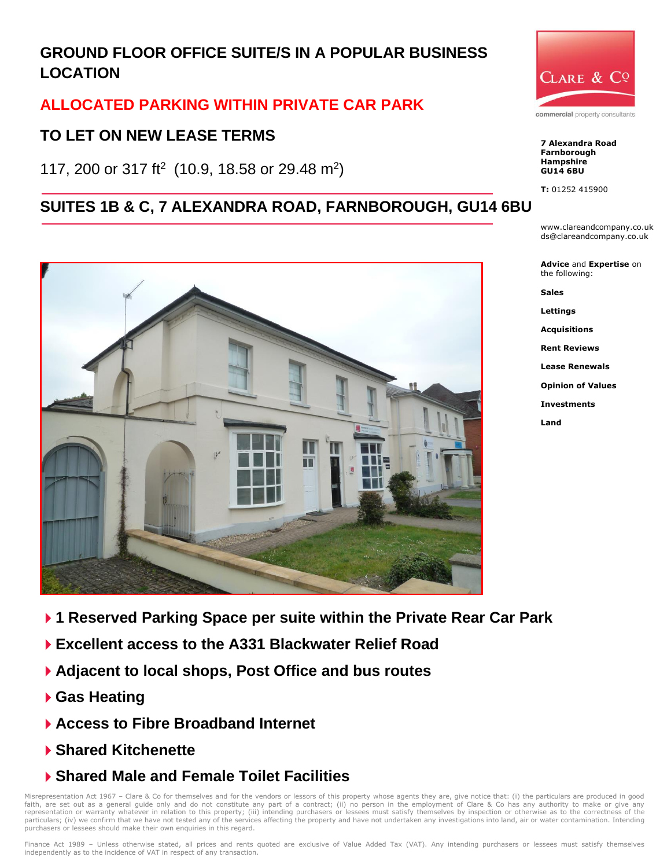# **GROUND FLOOR OFFICE SUITE/S IN A POPULAR BUSINESS LOCATION**

## **ALLOCATED PARKING WITHIN PRIVATE CAR PARK**

## **TO LET ON NEW LEASE TERMS**

117, 200 or 317 ft<sup>2</sup> (10.9, 18.58 or 29.48 m<sup>2</sup>)

## **SUITES 1B & C, 7 ALEXANDRA ROAD, FARNBOROUGH, GU14 6BU**





**7 Alexandra Road Farnborough**

**Hampshire GU14 6BU**

**T:** 01252 415900

www.clareandcompany.co.uk ds@clareandcompany.co.uk

**Advice** and **Expertise** on the following:

**Sales Lettings**

**Acquisitions**

**Rent Reviews**

**Lease Renewals**

**Opinion of Values**

**Investments**

**Land**

- **1 Reserved Parking Space per suite within the Private Rear Car Park**
- **Excellent access to the A331 Blackwater Relief Road**
- **Adjacent to local shops, Post Office and bus routes**
- **Gas Heating**
- **Access to Fibre Broadband Internet**
- **Shared Kitchenette**
- **Shared Male and Female Toilet Facilities**

Misrepresentation Act 1967 - Clare & Co for themselves and for the vendors or lessors of this property whose agents they are, give notice that: (i) the particulars are produced in good faith, are set out as a general guide only and do not constitute any part of a contract; (ii) no person in the employment of Clare & Co has any authority to make or give representation or warranty whatever in relation to this property; (iii) intending purchasers or lessees must satisfy themselves by inspection or otherwise as to the correctness of the particulars; (iv) we confirm that we have not tested any of the services affecting the property and have not undertaken any investigations into land, air or water contamination. Intending purchasers or lessees should make their own enquiries in this regard.

Finance Act 1989 - Unless otherwise stated, all prices and rents quoted are exclusive of Value Added Tax (VAT). Any intending purchasers or lessees must satisfy themselves independently as to the incidence of VAT in respect of any transaction.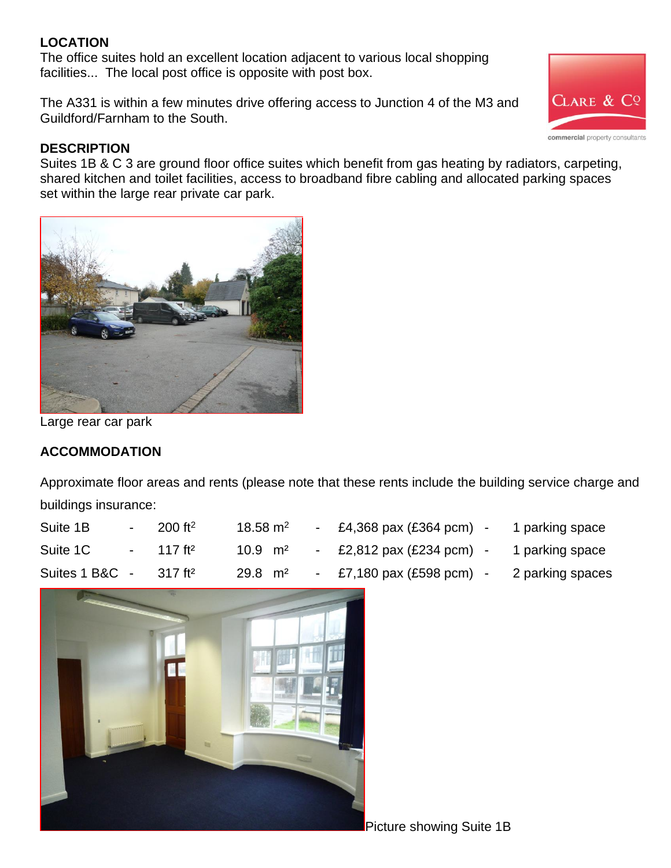## **LOCATION**

The office suites hold an excellent location adjacent to various local shopping facilities... The local post office is opposite with post box.

The A331 is within a few minutes drive offering access to Junction 4 of the M3 and Guildford/Farnham to the South.

## **DESCRIPTION**

Suites 1B & C 3 are ground floor office suites which benefit from gas heating by radiators, carpeting, shared kitchen and toilet facilities, access to broadband fibre cabling and allocated parking spaces set within the large rear private car park.



Large rear car park

## **ACCOMMODATION**

Approximate floor areas and rents (please note that these rents include the building service charge and buildings insurance:

| Suite 1B       | $200 \text{ ft}^2$    | 18.58 $m2$         | £4,368 pax (£364 pcm) | 1 parking space  |
|----------------|-----------------------|--------------------|-----------------------|------------------|
| Suite 1C       | 117 ft <sup>2</sup>   | $10.9 \text{ m}^2$ | £2,812 pax (£234 pcm) | 1 parking space  |
| Suites 1 B&C - | $317$ ft <sup>2</sup> | $29.8 \text{ m}^2$ | £7,180 pax (£598 pcm) | 2 parking spaces |